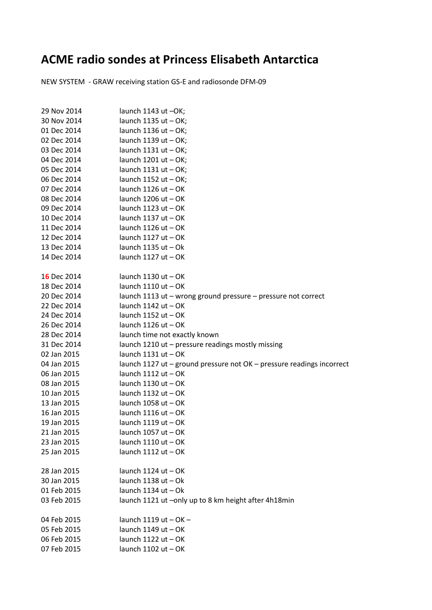## **ACME radio sondes at Princess Elisabeth Antarctica**

NEW SYSTEM - GRAW receiving station GS-E and radiosonde DFM-09

| 29 Nov 2014 | launch 1143 ut -OK;                                                   |
|-------------|-----------------------------------------------------------------------|
| 30 Nov 2014 | launch $1135$ ut $-$ OK;                                              |
| 01 Dec 2014 | launch $1136$ ut $-$ OK;                                              |
| 02 Dec 2014 | launch $1139$ ut $-$ OK;                                              |
| 03 Dec 2014 | launch $1131$ ut $-$ OK;                                              |
| 04 Dec 2014 | launch $1201$ ut $-$ OK;                                              |
| 05 Dec 2014 | launch $1131$ ut $-$ OK;                                              |
| 06 Dec 2014 | launch $1152$ ut $-$ OK;                                              |
| 07 Dec 2014 | launch $1126$ ut $-$ OK                                               |
| 08 Dec 2014 | launch $1206$ ut $-$ OK                                               |
| 09 Dec 2014 | launch $1123$ ut $-$ OK                                               |
| 10 Dec 2014 | launch $1137$ ut $-$ OK                                               |
| 11 Dec 2014 | launch $1126$ ut $-$ OK                                               |
| 12 Dec 2014 | launch $1127$ ut $-$ OK                                               |
| 13 Dec 2014 | launch $1135$ ut $-$ Ok                                               |
| 14 Dec 2014 | launch $1127$ ut $-$ OK                                               |
|             |                                                                       |
| 16 Dec 2014 | launch $1130$ ut $-$ OK                                               |
| 18 Dec 2014 | launch $1110$ ut $-$ OK                                               |
| 20 Dec 2014 | launch 1113 ut - wrong ground pressure - pressure not correct         |
| 22 Dec 2014 | launch $1142$ ut $-$ OK                                               |
| 24 Dec 2014 | launch $1152$ ut $-$ OK                                               |
| 26 Dec 2014 | launch $1126$ ut $-$ OK                                               |
| 28 Dec 2014 | launch time not exactly known                                         |
| 31 Dec 2014 | launch 1210 ut - pressure readings mostly missing                     |
| 02 Jan 2015 | launch $1131$ ut $-$ OK                                               |
| 04 Jan 2015 | launch 1127 ut - ground pressure not OK - pressure readings incorrect |
| 06 Jan 2015 | launch $1112$ ut $-$ OK                                               |
| 08 Jan 2015 | launch $1130$ ut $-$ OK                                               |
| 10 Jan 2015 | launch $1132$ ut $-$ OK                                               |
| 13 Jan 2015 | launch $1058$ ut $-$ OK                                               |
| 16 Jan 2015 | launch $1116$ ut $-$ OK                                               |
| 19 Jan 2015 | launch $1119$ ut $-$ OK                                               |
| 21 Jan 2015 | launch $1057$ ut $-$ OK                                               |
| 23 Jan 2015 | launch 1110 ut - OK                                                   |
| 25 Jan 2015 | launch $1112$ ut $-$ OK                                               |
|             |                                                                       |
| 28 Jan 2015 | launch $1124$ ut $-$ OK                                               |
| 30 Jan 2015 | launch $1138$ ut $-$ Ok                                               |
| 01 Feb 2015 | launch $1134$ ut $-$ Ok                                               |
| 03 Feb 2015 | launch 1121 ut -only up to 8 km height after 4h18min                  |
|             |                                                                       |
| 04 Feb 2015 | launch $1119$ ut $-$ OK $-$                                           |
| 05 Feb 2015 | launch $1149$ ut $-$ OK                                               |
| 06 Feb 2015 | launch $1122$ ut $-$ OK                                               |
| 07 Feb 2015 | launch $1102$ ut $-$ OK                                               |
|             |                                                                       |